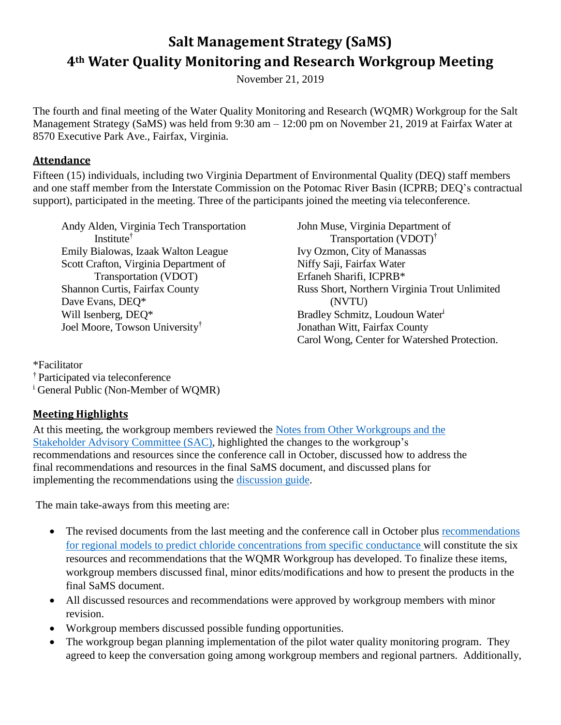# **Salt Management Strategy (SaMS) 4th Water Quality Monitoring and Research Workgroup Meeting**

November 21, 2019

The fourth and final meeting of the Water Quality Monitoring and Research (WQMR) Workgroup for the Salt Management Strategy (SaMS) was held from 9:30 am – 12:00 pm on November 21, 2019 at Fairfax Water at 8570 Executive Park Ave., Fairfax, Virginia.

#### **Attendance**

Fifteen (15) individuals, including two Virginia Department of Environmental Quality (DEQ) staff members and one staff member from the Interstate Commission on the Potomac River Basin (ICPRB; DEQ's contractual support), participated in the meeting. Three of the participants joined the meeting via teleconference.

Andy Alden, Virginia Tech Transportation Institute† Emily Bialowas, Izaak Walton League Scott Crafton, Virginia Department of Transportation (VDOT) Shannon Curtis, Fairfax County Dave Evans, DEQ\* Will Isenberg, DEQ\* Joel Moore, Towson University†

John Muse, Virginia Department of Transportation (VDOT)† Ivy Ozmon, City of Manassas Niffy Saji, Fairfax Water Erfaneh Sharifi, ICPRB\* Russ Short, Northern Virginia Trout Unlimited (NVTU) Bradley Schmitz, Loudoun Water<sup>i</sup> Jonathan Witt, Fairfax County Carol Wong, Center for Watershed Protection.

\*Facilitator † Participated via teleconference <sup>i</sup> General Public (Non-Member of WQMR)

# **Meeting Highlights**

At this meeting, the workgroup members reviewed the [Notes from Other Workgroups and the](https://www.deq.virginia.gov/Portals/0/DEQ/Water/TMDL/SaMS/MeetingMaterials/WMRwg/Meeting4/SaMS_IP_WQMR4_NotesfromotherWGs.pdf)  [Stakeholder Advisory Committee \(SAC\)](https://www.deq.virginia.gov/Portals/0/DEQ/Water/TMDL/SaMS/MeetingMaterials/WMRwg/Meeting4/SaMS_IP_WQMR4_NotesfromotherWGs.pdf), highlighted the changes to the workgroup's recommendations and resources since the conference call in October, discussed how to address the final recommendations and resources in the final SaMS document, and discussed plans for implementing the recommendations using the [discussion guide.](https://www.deq.virginia.gov/Portals/0/DEQ/Water/TMDL/SaMS/MeetingMaterials/WMRwg/Meeting4/SaMS_IP_WQMR4_DiscussionGuide.pdf)

The main take-aways from this meeting are:

- The revised documents from the last meeting and the conference call in October plus recommendations [for regional models to predict chloride concentrations from specific conductance](https://www.deq.virginia.gov/Portals/0/DEQ/Water/TMDL/SaMS/MeetingMaterials/WMRwg/Meeting4/SaMS_IP_WQMR4_AI7_RegionalModels.pdf) will constitute the six resources and recommendations that the WQMR Workgroup has developed. To finalize these items, workgroup members discussed final, minor edits/modifications and how to present the products in the final SaMS document.
- All discussed resources and recommendations were approved by workgroup members with minor revision.
- Workgroup members discussed possible funding opportunities.
- The workgroup began planning implementation of the pilot water quality monitoring program. They agreed to keep the conversation going among workgroup members and regional partners. Additionally,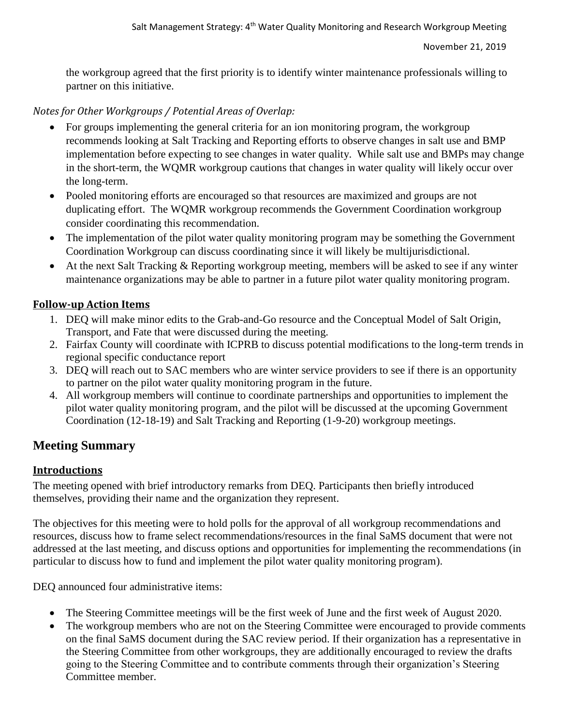the workgroup agreed that the first priority is to identify winter maintenance professionals willing to partner on this initiative.

# *Notes for Other Workgroups / Potential Areas of Overlap:*

- For groups implementing the general criteria for an ion monitoring program, the workgroup recommends looking at Salt Tracking and Reporting efforts to observe changes in salt use and BMP implementation before expecting to see changes in water quality. While salt use and BMPs may change in the short-term, the WQMR workgroup cautions that changes in water quality will likely occur over the long-term.
- Pooled monitoring efforts are encouraged so that resources are maximized and groups are not duplicating effort. The WQMR workgroup recommends the Government Coordination workgroup consider coordinating this recommendation.
- The implementation of the pilot water quality monitoring program may be something the Government Coordination Workgroup can discuss coordinating since it will likely be multijurisdictional.
- At the next Salt Tracking & Reporting workgroup meeting, members will be asked to see if any winter maintenance organizations may be able to partner in a future pilot water quality monitoring program.

# **Follow-up Action Items**

- 1. DEQ will make minor edits to the Grab-and-Go resource and the Conceptual Model of Salt Origin, Transport, and Fate that were discussed during the meeting.
- 2. Fairfax County will coordinate with ICPRB to discuss potential modifications to the long-term trends in regional specific conductance report
- 3. DEQ will reach out to SAC members who are winter service providers to see if there is an opportunity to partner on the pilot water quality monitoring program in the future.
- 4. All workgroup members will continue to coordinate partnerships and opportunities to implement the pilot water quality monitoring program, and the pilot will be discussed at the upcoming Government Coordination (12-18-19) and Salt Tracking and Reporting (1-9-20) workgroup meetings.

# **Meeting Summary**

# **Introductions**

The meeting opened with brief introductory remarks from DEQ. Participants then briefly introduced themselves, providing their name and the organization they represent.

The objectives for this meeting were to hold polls for the approval of all workgroup recommendations and resources, discuss how to frame select recommendations/resources in the final SaMS document that were not addressed at the last meeting, and discuss options and opportunities for implementing the recommendations (in particular to discuss how to fund and implement the pilot water quality monitoring program).

DEQ announced four administrative items:

- The Steering Committee meetings will be the first week of June and the first week of August 2020.
- The workgroup members who are not on the Steering Committee were encouraged to provide comments on the final SaMS document during the SAC review period. If their organization has a representative in the Steering Committee from other workgroups, they are additionally encouraged to review the drafts going to the Steering Committee and to contribute comments through their organization's Steering Committee member.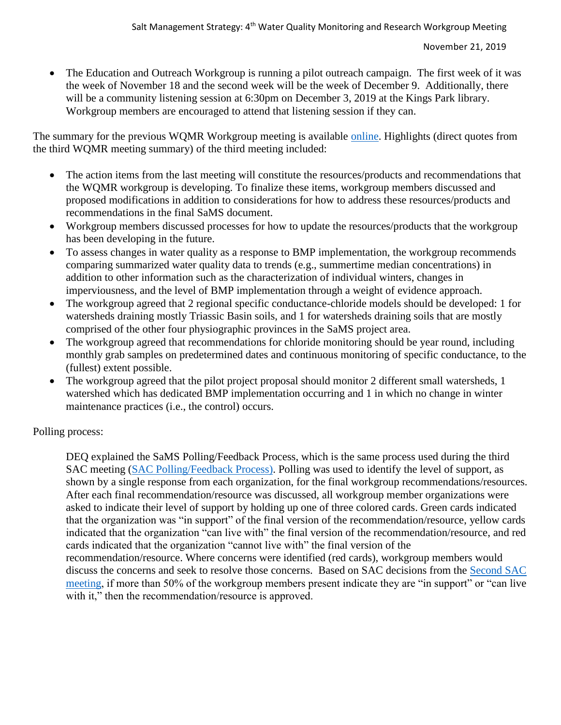• The Education and Outreach Workgroup is running a pilot outreach campaign. The first week of it was the week of November 18 and the second week will be the week of December 9. Additionally, there will be a community listening session at 6:30pm on December 3, 2019 at the Kings Park library. Workgroup members are encouraged to attend that listening session if they can.

The summary for the previous WQMR Workgroup meeting is available [online.](https://www.deq.virginia.gov/Portals/0/DEQ/Water/TMDL/SaMS/MeetingMaterials/WMRwg/Meeting3/SaMS_Third_WQMR_Summary_06-19-2019.pdf) Highlights (direct quotes from the third WQMR meeting summary) of the third meeting included:

- The action items from the last meeting will constitute the resources/products and recommendations that the WQMR workgroup is developing. To finalize these items, workgroup members discussed and proposed modifications in addition to considerations for how to address these resources/products and recommendations in the final SaMS document.
- Workgroup members discussed processes for how to update the resources/products that the workgroup has been developing in the future.
- To assess changes in water quality as a response to BMP implementation, the workgroup recommends comparing summarized water quality data to trends (e.g., summertime median concentrations) in addition to other information such as the characterization of individual winters, changes in imperviousness, and the level of BMP implementation through a weight of evidence approach.
- The workgroup agreed that 2 regional specific conductance-chloride models should be developed: 1 for watersheds draining mostly Triassic Basin soils, and 1 for watersheds draining soils that are mostly comprised of the other four physiographic provinces in the SaMS project area.
- The workgroup agreed that recommendations for chloride monitoring should be year round, including monthly grab samples on predetermined dates and continuous monitoring of specific conductance, to the (fullest) extent possible.
- The workgroup agreed that the pilot project proposal should monitor 2 different small watersheds, 1 watershed which has dedicated BMP implementation occurring and 1 in which no change in winter maintenance practices (i.e., the control) occurs.

Polling process:

DEQ explained the SaMS Polling/Feedback Process, which is the same process used during the third SAC meeting [\(SAC Polling/Feedback Process\)](https://www.deq.virginia.gov/Portals/0/DEQ/Water/TMDL/SaMS/MeetingMaterials/SAC3/SaMS_IP_SAC3_PollingProcess.pdf). Polling was used to identify the level of support, as shown by a single response from each organization, for the final workgroup recommendations/resources. After each final recommendation/resource was discussed, all workgroup member organizations were asked to indicate their level of support by holding up one of three colored cards. Green cards indicated that the organization was "in support" of the final version of the recommendation/resource, yellow cards indicated that the organization "can live with" the final version of the recommendation/resource, and red cards indicated that the organization "cannot live with" the final version of the recommendation/resource. Where concerns were identified (red cards), workgroup members would discuss the concerns and seek to resolve those concerns. Based on SAC decisions from the [Second SAC](https://www.deq.virginia.gov/Portals/0/DEQ/Water/TMDL/SaMS/MeetingMaterials/SAC2/SaMS_IP_SAC2_MeetingSummary.pdf)  [meeting,](https://www.deq.virginia.gov/Portals/0/DEQ/Water/TMDL/SaMS/MeetingMaterials/SAC2/SaMS_IP_SAC2_MeetingSummary.pdf) if more than 50% of the workgroup members present indicate they are "in support" or "can live with it," then the recommendation/resource is approved.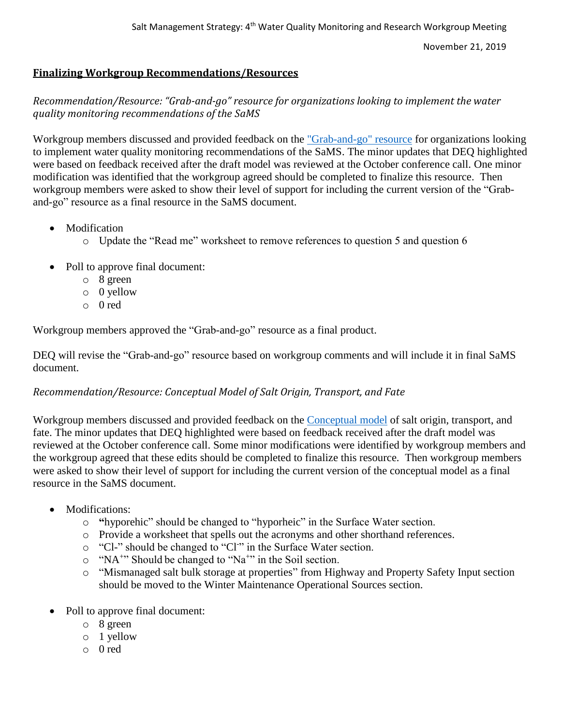November 21, 2019

#### **Finalizing Workgroup Recommendations/Resources**

*Recommendation/Resource: "Grab-and-go" resource for organizations looking to implement the water quality monitoring recommendations of the SaMS*

Workgroup members discussed and provided feedback on the ["Grab-and-go" resource](https://www.deq.virginia.gov/Portals/0/DEQ/Water/TMDL/SaMS/MeetingMaterials/WMRwg/Meeting4/SaMS_IP_WQMR4_AI1_GrabAndGo_081919.xlsx) for organizations looking to implement water quality monitoring recommendations of the SaMS. The minor updates that DEQ highlighted were based on feedback received after the draft model was reviewed at the October conference call. One minor modification was identified that the workgroup agreed should be completed to finalize this resource. Then workgroup members were asked to show their level of support for including the current version of the "Graband-go" resource as a final resource in the SaMS document.

- Modification
	- o Update the "Read me" worksheet to remove references to question 5 and question 6
- Poll to approve final document:
	- o 8 green
	- o 0 yellow
	- o 0 red

Workgroup members approved the "Grab-and-go" resource as a final product.

DEQ will revise the "Grab-and-go" resource based on workgroup comments and will include it in final SaMS document.

#### *Recommendation/Resource: Conceptual Model of Salt Origin, Transport, and Fate*

Workgroup members discussed and provided feedback on the [Conceptual model](https://www.deq.virginia.gov/Portals/0/DEQ/Water/TMDL/SaMS/MeetingMaterials/WMRwg/Meeting4/SaMS_IP_WQMR4_AI2_SaltConceptualModel.xlsx) of salt origin, transport, and fate. The minor updates that DEQ highlighted were based on feedback received after the draft model was reviewed at the October conference call. Some minor modifications were identified by workgroup members and the workgroup agreed that these edits should be completed to finalize this resource. Then workgroup members were asked to show their level of support for including the current version of the conceptual model as a final resource in the SaMS document.

- Modifications:
	- o **"**hyporehic" should be changed to "hyporheic" in the Surface Water section.
	- o Provide a worksheet that spells out the acronyms and other shorthand references.
	- o "Cl-" should be changed to "Cl<sup>-</sup>" in the Surface Water section.
	- o "NA<sup>+</sup>" Should be changed to "Na<sup>+</sup>" in the Soil section.
	- o "Mismanaged salt bulk storage at properties" from Highway and Property Safety Input section should be moved to the Winter Maintenance Operational Sources section.
- Poll to approve final document:
	- o 8 green
	- o 1 yellow
	- o 0 red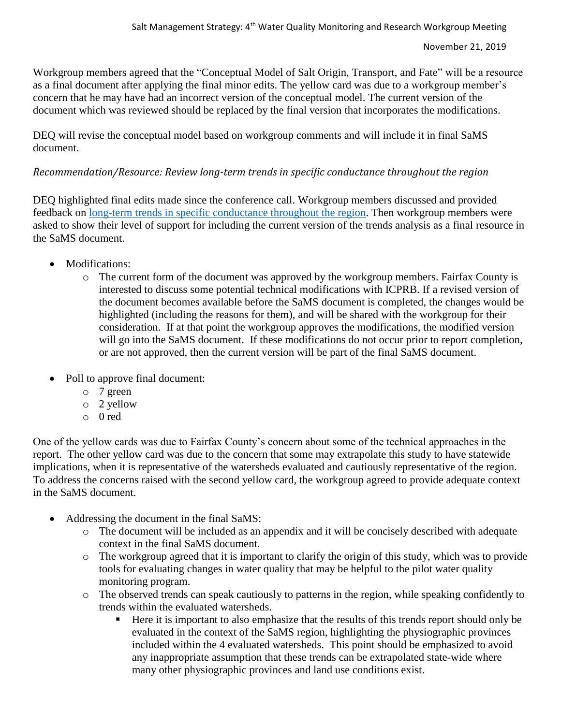Workgroup members agreed that the "Conceptual Model of Salt Origin, Transport, and Fate" will be a resource as a final document after applying the final minor edits. The yellow card was due to a workgroup member's concern that he may have had an incorrect version of the conceptual model. The current version of the document which was reviewed should be replaced by the final version that incorporates the modifications.

DEQ will revise the conceptual model based on workgroup comments and will include it in final SaMS document.

#### *Recommendation/Resource: Review long-term trends in specific conductance throughout the region*

DEQ highlighted final edits made since the conference call. Workgroup members discussed and provided feedback on [long-term trends in specific conductance throughout the region.](https://www.deq.virginia.gov/Portals/0/DEQ/Water/TMDL/SaMS/MeetingMaterials/WMRwg/Meeting4/SaMS_IP_RegionalSCTrends_110519.pdf) Then workgroup members were asked to show their level of support for including the current version of the trends analysis as a final resource in the SaMS document.

- Modifications:
	- o The current form of the document was approved by the workgroup members. Fairfax County is interested to discuss some potential technical modifications with ICPRB. If a revised version of the document becomes available before the SaMS document is completed, the changes would be highlighted (including the reasons for them), and will be shared with the workgroup for their consideration. If at that point the workgroup approves the modifications, the modified version will go into the SaMS document. If these modifications do not occur prior to report completion, or are not approved, then the current version will be part of the final SaMS document.
- Poll to approve final document:
	- o 7 green
	- o 2 yellow
	- o 0 red

One of the yellow cards was due to Fairfax County's concern about some of the technical approaches in the report. The other yellow card was due to the concern that some may extrapolate this study to have statewide implications, when it is representative of the watersheds evaluated and cautiously representative of the region. To address the concerns raised with the second yellow card, the workgroup agreed to provide adequate context in the SaMS document.

- Addressing the document in the final SaMS:
	- o The document will be included as an appendix and it will be concisely described with adequate context in the final SaMS document.
	- o The workgroup agreed that it is important to clarify the origin of this study, which was to provide tools for evaluating changes in water quality that may be helpful to the pilot water quality monitoring program.
	- o The observed trends can speak cautiously to patterns in the region, while speaking confidently to trends within the evaluated watersheds.
		- Here it is important to also emphasize that the results of this trends report should only be evaluated in the context of the SaMS region, highlighting the physiographic provinces included within the 4 evaluated watersheds. This point should be emphasized to avoid any inappropriate assumption that these trends can be extrapolated state-wide where many other physiographic provinces and land use conditions exist.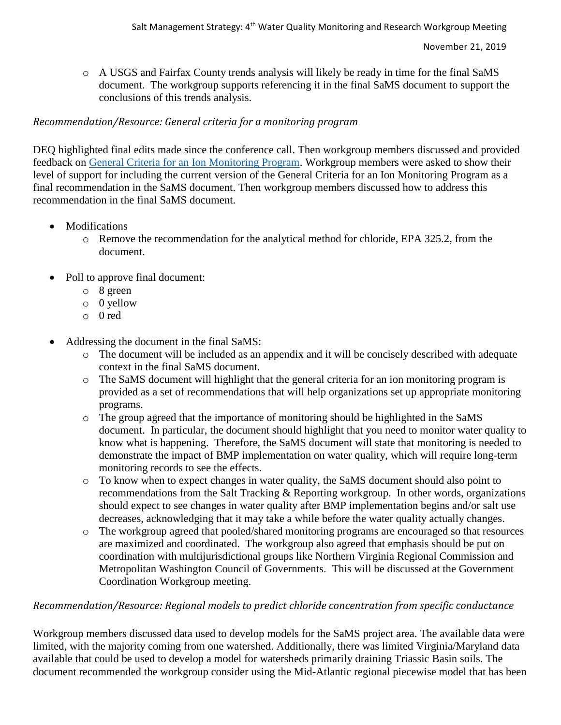o A USGS and Fairfax County trends analysis will likely be ready in time for the final SaMS document. The workgroup supports referencing it in the final SaMS document to support the conclusions of this trends analysis.

### *Recommendation/Resource: General criteria for a monitoring program*

DEQ highlighted final edits made since the conference call. Then workgroup members discussed and provided feedback on [General Criteria for an Ion Monitoring Program.](https://www.deq.virginia.gov/Portals/0/DEQ/Water/TMDL/SaMS/MeetingMaterials/WMRwg/Meeting4/SaMS_IP-WQMR4_AI4_SaMSMonitoringCriteria.docx) Workgroup members were asked to show their level of support for including the current version of the General Criteria for an Ion Monitoring Program as a final recommendation in the SaMS document. Then workgroup members discussed how to address this recommendation in the final SaMS document.

- Modifications
	- o Remove the recommendation for the analytical method for chloride, EPA 325.2, from the document.
- Poll to approve final document:
	- o 8 green
	- o 0 yellow
	- o 0 red
- Addressing the document in the final SaMS:
	- o The document will be included as an appendix and it will be concisely described with adequate context in the final SaMS document.
	- o The SaMS document will highlight that the general criteria for an ion monitoring program is provided as a set of recommendations that will help organizations set up appropriate monitoring programs.
	- o The group agreed that the importance of monitoring should be highlighted in the SaMS document. In particular, the document should highlight that you need to monitor water quality to know what is happening. Therefore, the SaMS document will state that monitoring is needed to demonstrate the impact of BMP implementation on water quality, which will require long-term monitoring records to see the effects.
	- o To know when to expect changes in water quality, the SaMS document should also point to recommendations from the Salt Tracking & Reporting workgroup. In other words, organizations should expect to see changes in water quality after BMP implementation begins and/or salt use decreases, acknowledging that it may take a while before the water quality actually changes.
	- o The workgroup agreed that pooled/shared monitoring programs are encouraged so that resources are maximized and coordinated. The workgroup also agreed that emphasis should be put on coordination with multijurisdictional groups like Northern Virginia Regional Commission and Metropolitan Washington Council of Governments. This will be discussed at the Government Coordination Workgroup meeting.

# *Recommendation/Resource: Regional models to predict chloride concentration from specific conductance*

Workgroup members discussed data used to develop models for the SaMS project area. The available data were limited, with the majority coming from one watershed. Additionally, there was limited Virginia/Maryland data available that could be used to develop a model for watersheds primarily draining Triassic Basin soils. The document recommended the workgroup consider using the Mid-Atlantic regional piecewise model that has been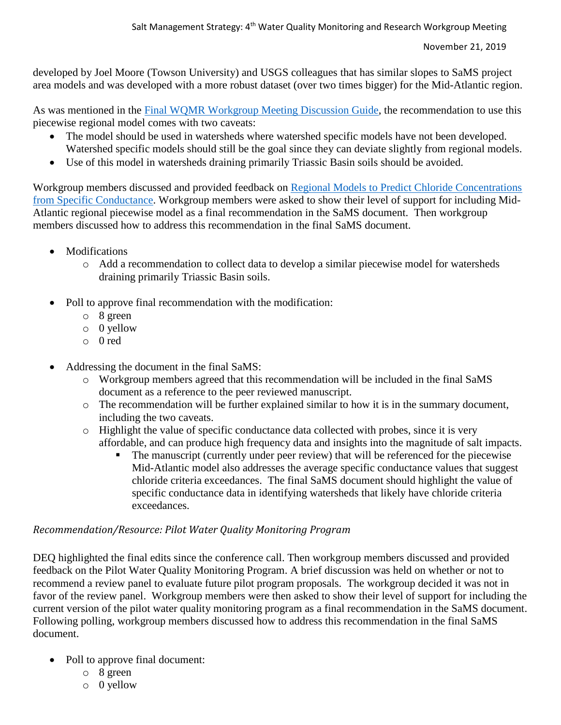developed by Joel Moore (Towson University) and USGS colleagues that has similar slopes to SaMS project area models and was developed with a more robust dataset (over two times bigger) for the Mid-Atlantic region.

As was mentioned in the [Final WQMR Workgroup Meeting Discussion Guide,](https://www.deq.virginia.gov/Portals/0/DEQ/Water/TMDL/SaMS/MeetingMaterials/WMRwg/Meeting4/SaMS_IP_WQMR4_DiscussionGuide.pdf) the recommendation to use this piecewise regional model comes with two caveats:

- The model should be used in watersheds where watershed specific models have not been developed. Watershed specific models should still be the goal since they can deviate slightly from regional models.
- Use of this model in watersheds draining primarily Triassic Basin soils should be avoided.

Workgroup members discussed and provided feedback on [Regional Models to Predict Chloride Concentrations](https://www.deq.virginia.gov/Portals/0/DEQ/Water/TMDL/SaMS/MeetingMaterials/WMRwg/Meeting4/SaMS_IP_WQMR4_AI7_RegionalModels.pdf)  [from Specific Conductance.](https://www.deq.virginia.gov/Portals/0/DEQ/Water/TMDL/SaMS/MeetingMaterials/WMRwg/Meeting4/SaMS_IP_WQMR4_AI7_RegionalModels.pdf) Workgroup members were asked to show their level of support for including Mid-Atlantic regional piecewise model as a final recommendation in the SaMS document. Then workgroup members discussed how to address this recommendation in the final SaMS document.

- Modifications
	- o Add a recommendation to collect data to develop a similar piecewise model for watersheds draining primarily Triassic Basin soils.
- Poll to approve final recommendation with the modification:
	- o 8 green
	- o 0 yellow
	- o 0 red
- Addressing the document in the final SaMS:
	- o Workgroup members agreed that this recommendation will be included in the final SaMS document as a reference to the peer reviewed manuscript.
	- o The recommendation will be further explained similar to how it is in the summary document, including the two caveats.
	- o Highlight the value of specific conductance data collected with probes, since it is very affordable, and can produce high frequency data and insights into the magnitude of salt impacts.
		- The manuscript (currently under peer review) that will be referenced for the piecewise Mid-Atlantic model also addresses the average specific conductance values that suggest chloride criteria exceedances. The final SaMS document should highlight the value of specific conductance data in identifying watersheds that likely have chloride criteria exceedances.

#### *Recommendation/Resource: Pilot Water Quality Monitoring Program*

DEQ highlighted the final edits since the conference call. Then workgroup members discussed and provided feedback on the Pilot Water Quality Monitoring Program. A brief discussion was held on whether or not to recommend a review panel to evaluate future pilot program proposals. The workgroup decided it was not in favor of the review panel. Workgroup members were then asked to show their level of support for including the current version of the pilot water quality monitoring program as a final recommendation in the SaMS document. Following polling, workgroup members discussed how to address this recommendation in the final SaMS document.

- Poll to approve final document:
	- o 8 green
	- o 0 yellow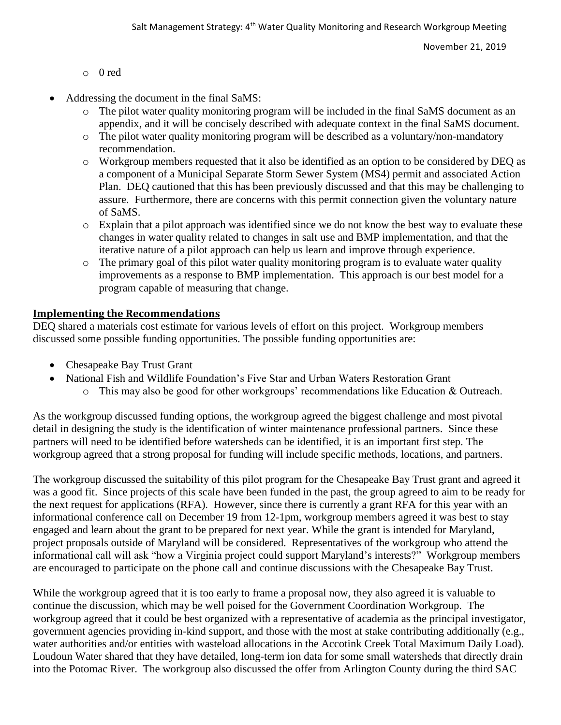November 21, 2019

- o 0 red
- Addressing the document in the final SaMS:
	- o The pilot water quality monitoring program will be included in the final SaMS document as an appendix, and it will be concisely described with adequate context in the final SaMS document.
	- o The pilot water quality monitoring program will be described as a voluntary/non-mandatory recommendation.
	- o Workgroup members requested that it also be identified as an option to be considered by DEQ as a component of a Municipal Separate Storm Sewer System (MS4) permit and associated Action Plan. DEQ cautioned that this has been previously discussed and that this may be challenging to assure. Furthermore, there are concerns with this permit connection given the voluntary nature of SaMS.
	- o Explain that a pilot approach was identified since we do not know the best way to evaluate these changes in water quality related to changes in salt use and BMP implementation, and that the iterative nature of a pilot approach can help us learn and improve through experience.
	- o The primary goal of this pilot water quality monitoring program is to evaluate water quality improvements as a response to BMP implementation. This approach is our best model for a program capable of measuring that change.

#### **Implementing the Recommendations**

DEQ shared a materials cost estimate for various levels of effort on this project. Workgroup members discussed some possible funding opportunities. The possible funding opportunities are:

- Chesapeake Bay Trust Grant
- National Fish and Wildlife Foundation's Five Star and Urban Waters Restoration Grant
	- o This may also be good for other workgroups' recommendations like Education & Outreach.

As the workgroup discussed funding options, the workgroup agreed the biggest challenge and most pivotal detail in designing the study is the identification of winter maintenance professional partners. Since these partners will need to be identified before watersheds can be identified, it is an important first step. The workgroup agreed that a strong proposal for funding will include specific methods, locations, and partners.

The workgroup discussed the suitability of this pilot program for the Chesapeake Bay Trust grant and agreed it was a good fit. Since projects of this scale have been funded in the past, the group agreed to aim to be ready for the next request for applications (RFA). However, since there is currently a grant RFA for this year with an informational conference call on December 19 from 12-1pm, workgroup members agreed it was best to stay engaged and learn about the grant to be prepared for next year. While the grant is intended for Maryland, project proposals outside of Maryland will be considered. Representatives of the workgroup who attend the informational call will ask "how a Virginia project could support Maryland's interests?" Workgroup members are encouraged to participate on the phone call and continue discussions with the Chesapeake Bay Trust.

While the workgroup agreed that it is too early to frame a proposal now, they also agreed it is valuable to continue the discussion, which may be well poised for the Government Coordination Workgroup. The workgroup agreed that it could be best organized with a representative of academia as the principal investigator, government agencies providing in-kind support, and those with the most at stake contributing additionally (e.g., water authorities and/or entities with wasteload allocations in the Accotink Creek Total Maximum Daily Load). Loudoun Water shared that they have detailed, long-term ion data for some small watersheds that directly drain into the Potomac River. The workgroup also discussed the offer from Arlington County during the third SAC